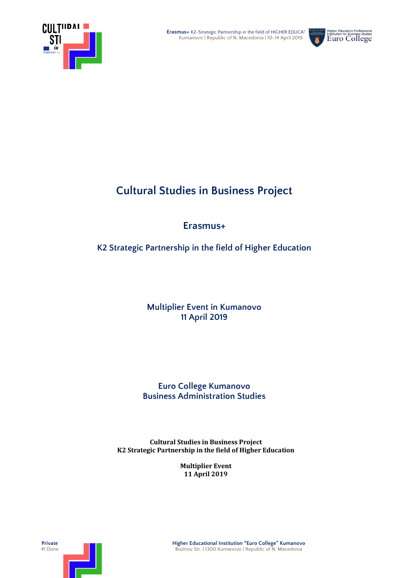



# **Cultural Studies in Business Project**

## **Erasmus+**

**K2 Strategic Partnership in the field of Higher Education**

### **Multiplier Event in Kumanovo 11 April 2019**

### **Euro College Kumanovo Business Administration Studies**

**Cultural Studies in Business Project K2 Strategic Partnership in the field of Higher Education**

> **Multiplier Event 11 April 2019**

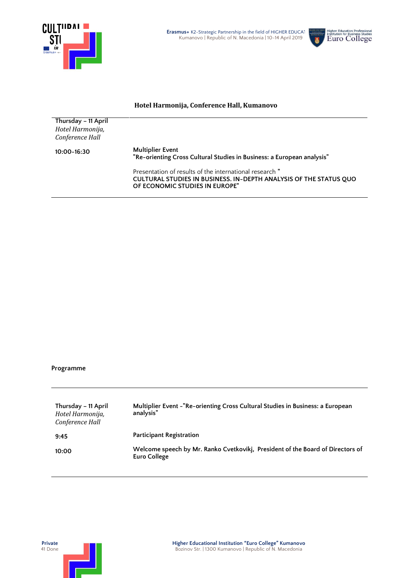

j.



#### **Hotel Harmonija, Conference Hall, Kumanovo**

| Thursday - 11 April<br>Hotel Harmonija, |                                                                                                                                                                |
|-----------------------------------------|----------------------------------------------------------------------------------------------------------------------------------------------------------------|
|                                         |                                                                                                                                                                |
| Conference Hall                         |                                                                                                                                                                |
| $10:00 - 16:30$                         | <b>Multiplier Event</b><br>"Re-orienting Cross Cultural Studies in Business: a European analysis"                                                              |
|                                         | Presentation of results of the international research "<br>CULTURAL STUDIES IN BUSINESS. IN-DEPTH ANALYSIS OF THE STATUS QUO<br>OF ECONOMIC STUDIES IN EUROPE" |

#### **Programme**

| Thursday – 11 April<br>Hotel Harmonija,<br>Conference Hall | Multiplier Event - "Re-orienting Cross Cultural Studies in Business: a European<br>analysis"          |
|------------------------------------------------------------|-------------------------------------------------------------------------------------------------------|
| 9:45                                                       | <b>Participant Registration</b>                                                                       |
| 10:00                                                      | Welcome speech by Mr. Ranko Cvetkovikj, President of the Board of Directors of<br><b>Euro College</b> |